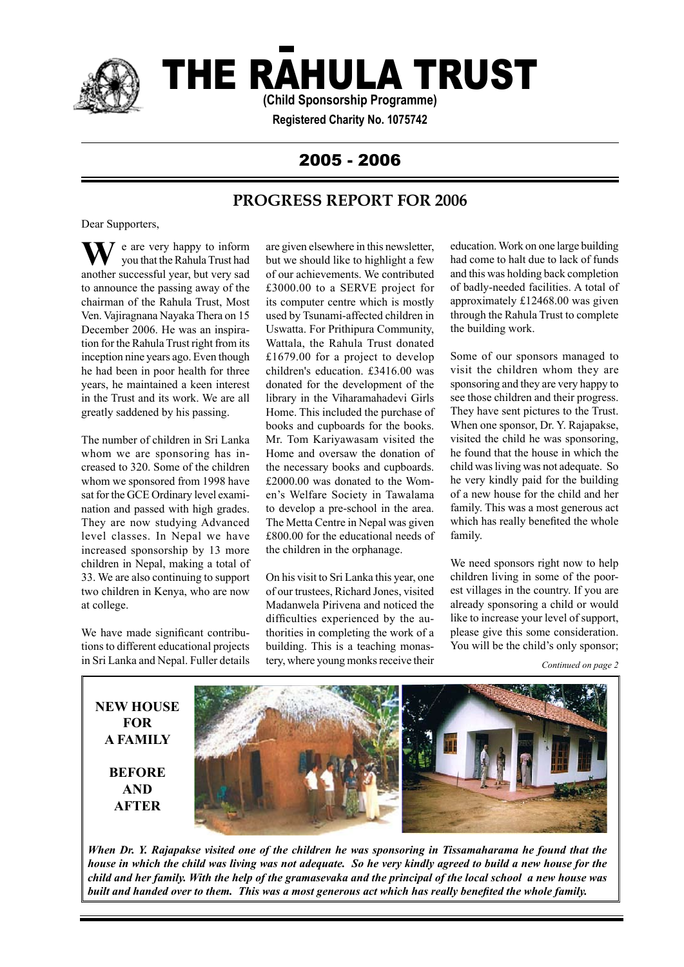

# THE RAHULA TRUST

**(Child Sponsorship Programme)**

**Registered Charity No. 1075742**

# 2005 - 2006

# **PROGRESS REPORT FOR 2006**

Dear Supporters,

 $\bar{z}$  e are very happy to inform you that the Rahula Trust had **W** e are very happy to inform<br>you that the Rahula Trust had<br>another successful year, but very sad to announce the passing away of the chairman of the Rahula Trust, Most Ven. Vajiragnana Nayaka Thera on 15 December 2006. He was an inspiration for the Rahula Trust right from its inception nine years ago. Even though he had been in poor health for three years, he maintained a keen interest in the Trust and its work. We are all greatly saddened by his passing.

The number of children in Sri Lanka whom we are sponsoring has increased to 320. Some of the children whom we sponsored from 1998 have sat for the GCE Ordinary level examination and passed with high grades. They are now studying Advanced level classes. In Nepal we have increased sponsorship by 13 more children in Nepal, making a total of 33. We are also continuing to support two children in Kenya, who are now at college.

We have made significant contributions to different educational projects in Sri Lanka and Nepal. Fuller details are given elsewhere in this newsletter, but we should like to highlight a few of our achievements. We contributed £3000.00 to a SERVE project for its computer centre which is mostly used by Tsunami-affected children in Uswatta. For Prithipura Community, Wattala, the Rahula Trust donated £1679.00 for a project to develop children's education. £3416.00 was donated for the development of the library in the Viharamahadevi Girls Home. This included the purchase of books and cupboards for the books. Mr. Tom Kariyawasam visited the Home and oversaw the donation of the necessary books and cupboards. £2000.00 was donated to the Women's Welfare Society in Tawalama to develop a pre-school in the area. The Metta Centre in Nepal was given £800.00 for the educational needs of the children in the orphanage.

On his visit to Sri Lanka this year, one of our trustees, Richard Jones, visited Madanwela Pirivena and noticed the difficulties experienced by the authorities in completing the work of a building. This is a teaching monastery, where young monks receive their

education. Work on one large building had come to halt due to lack of funds and this was holding back completion of badly-needed facilities. A total of approximately £12468.00 was given through the Rahula Trust to complete the building work.

Some of our sponsors managed to visit the children whom they are sponsoring and they are very happy to see those children and their progress. They have sent pictures to the Trust. When one sponsor, Dr. Y. Rajapakse, visited the child he was sponsoring, he found that the house in which the child was living was not adequate. So he very kindly paid for the building of a new house for the child and her family. This was a most generous act which has really benefited the whole family.

We need sponsors right now to help children living in some of the poorest villages in the country. If you are already sponsoring a child or would like to increase your level of support, please give this some consideration. You will be the child's only sponsor;

*Continued on page 2*



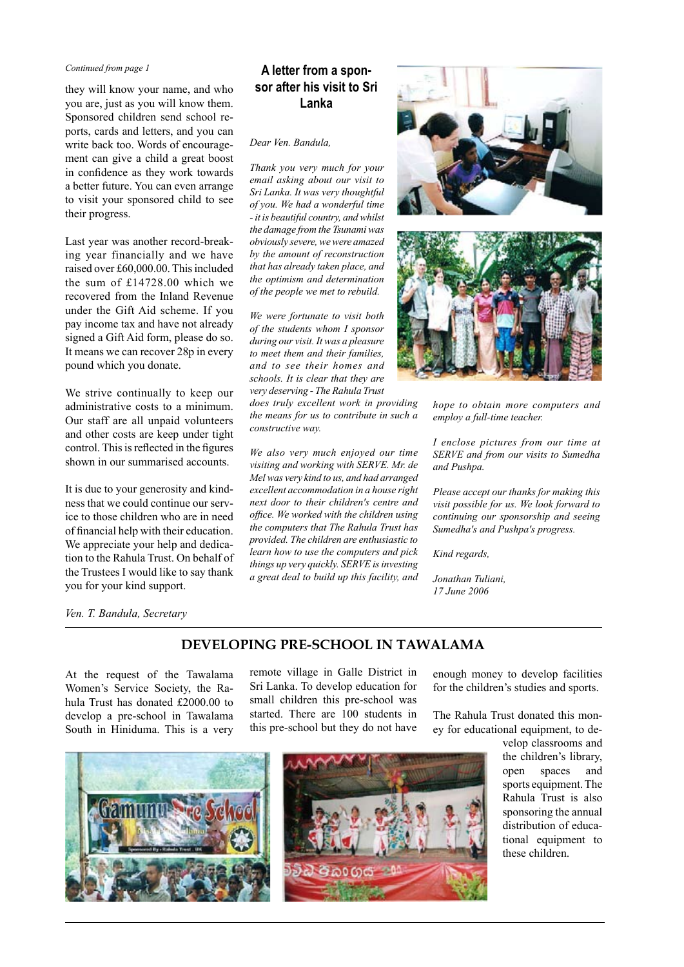#### *Continued from page 1*

they will know your name, and who you are, just as you will know them. Sponsored children send school reports, cards and letters, and you can write back too. Words of encouragement can give a child a great boost in confidence as they work towards a better future. You can even arrange to visit your sponsored child to see their progress.

Last year was another record-breaking year financially and we have raised over £60,000.00. This included the sum of £14728.00 which we recovered from the Inland Revenue under the Gift Aid scheme. If you pay income tax and have not already signed a Gift Aid form, please do so. It means we can recover 28p in every pound which you donate.

We strive continually to keep our administrative costs to a minimum. Our staff are all unpaid volunteers and other costs are keep under tight control. This is reflected in the figures shown in our summarised accounts.

It is due to your generosity and kindness that we could continue our service to those children who are in need of financial help with their education. We appreciate your help and dedication to the Rahula Trust. On behalf of the Trustees I would like to say thank you for your kind support.

### **A letter from a sponsor after his visit to Sri Lanka**

#### *Dear Ven. Bandula,*

*Thank you very much for your email asking about our visit to Sri Lanka. It was very thoughtful of you. We had a wonderful time - it is beautiful country, and whilst the damage from the Tsunami was obviously severe, we were amazed by the amount of reconstruction that has already taken place, and the optimism and determination of the people we met to rebuild.*

*We were fortunate to visit both of the students whom I sponsor during our visit. It was a pleasure to meet them and their families, and to see their homes and schools. It is clear that they are very deserving - The Rahula Trust* 

*does truly excellent work in providing the means for us to contribute in such a constructive way.*

*We also very much enjoyed our time visiting and working with SERVE. Mr. de Mel was very kind to us, and had arranged excellent accommodation in a house right next door to their children's centre and office. We worked with the children using the computers that The Rahula Trust has provided. The children are enthusiastic to learn how to use the computers and pick things up very quickly. SERVE is investing a great deal to build up this facility, and* 





*hope to obtain more computers and employ a full-time teacher.*

*I enclose pictures from our time at SERVE and from our visits to Sumedha and Pushpa.* 

*Please accept our thanks for making this visit possible for us. We look forward to continuing our sponsorship and seeing Sumedha's and Pushpa's progress.*

*Kind regards,*

*Jonathan Tuliani, 17 June 2006*

*Ven. T. Bandula, Secretary*

### **DEVELOPING PRE-SCHOOL IN TAWALAMA**

At the request of the Tawalama Women's Service Society, the Rahula Trust has donated £2000.00 to develop a pre-school in Tawalama South in Hiniduma. This is a very



remote village in Galle District in Sri Lanka. To develop education for small children this pre-school was started. There are 100 students in this pre-school but they do not have enough money to develop facilities for the children's studies and sports.

The Rahula Trust donated this money for educational equipment, to de-

> velop classrooms and the children's library, open spaces and sports equipment. The Rahula Trust is also sponsoring the annual distribution of educational equipment to these children.

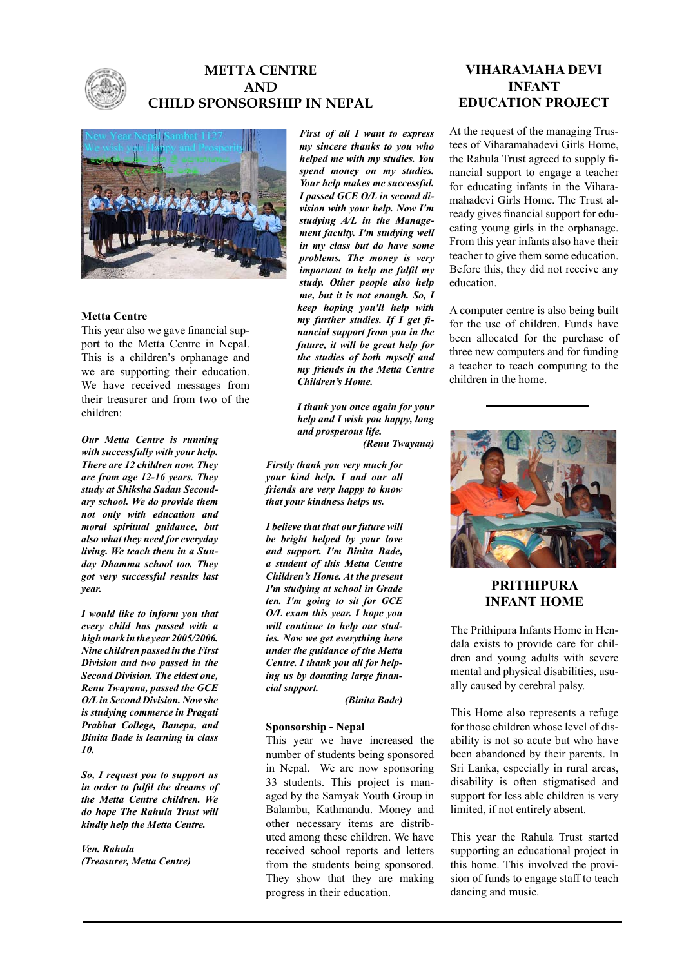

# **METTA CENTRE AND CHILD SPONSORSHIP IN NEPAL**



#### **Metta Centre**

This year also we gave financial support to the Metta Centre in Nepal. This is a children's orphanage and we are supporting their education. We have received messages from their treasurer and from two of the children:

*Our Metta Centre is running with successfully with your help. There are 12 children now. They are from age 12-16 years. They study at Shiksha Sadan Secondary school. We do provide them not only with education and moral spiritual guidance, but also what they need for everyday living. We teach them in a Sunday Dhamma school too. They got very successful results last year.*

*I would like to inform you that every child has passed with a high mark in the year 2005/2006. Nine children passed in the First Division and two passed in the Second Division. The eldest one, Renu Twayana, passed the GCE O/L in Second Division. Now she is studying commerce in Pragati Prabhat College, Banepa, and Binita Bade is learning in class 10.*

*So, I request you to support us in order to fulfil the dreams of the Metta Centre children. We do hope The Rahula Trust will kindly help the Metta Centre.*

*Ven. Rahula (Treasurer, Metta Centre)*

*First of all I want to express my sincere thanks to you who helped me with my studies. You spend money on my studies. Your help makes me successful. I passed GCE O/L in second division with your help. Now I'm studying A/L in the Management faculty. I'm studying well in my class but do have some problems. The money is very important to help me fulfil my study. Other people also help me, but it is not enough. So, I keep hoping you'll help with my further studies. If I get financial support from you in the future, it will be great help for the studies of both myself and my friends in the Metta Centre Children's Home.* 

*I thank you once again for your help and I wish you happy, long and prosperous life.*

 *(Renu Twayana)*

*Firstly thank you very much for your kind help. I and our all friends are very happy to know that your kindness helps us.* 

*I believe that that our future will be bright helped by your love and support. I'm Binita Bade, a student of this Metta Centre Children's Home. At the present I'm studying at school in Grade ten. I'm going to sit for GCE O/L exam this year. I hope you will continue to help our studies. Now we get everything here under the guidance of the Metta Centre. I thank you all for helping us by donating large financial support.* 

*(Binita Bade)*

#### **Sponsorship - Nepal**

This year we have increased the number of students being sponsored in Nepal. We are now sponsoring 33 students. This project is managed by the Samyak Youth Group in Balambu, Kathmandu. Money and other necessary items are distributed among these children. We have received school reports and letters from the students being sponsored. They show that they are making progress in their education.

### **VIHARAMAHA DEVI INFANT EDUCATION PROJECT**

At the request of the managing Trustees of Viharamahadevi Girls Home, the Rahula Trust agreed to supply financial support to engage a teacher for educating infants in the Viharamahadevi Girls Home. The Trust already gives financial support for educating young girls in the orphanage. From this year infants also have their teacher to give them some education. Before this, they did not receive any education.

A computer centre is also being built for the use of children. Funds have been allocated for the purchase of three new computers and for funding a teacher to teach computing to the children in the home.



### **PRITHIPURA INFANT HOME**

The Prithipura Infants Home in Hendala exists to provide care for children and young adults with severe mental and physical disabilities, usually caused by cerebral palsy.

This Home also represents a refuge for those children whose level of disability is not so acute but who have been abandoned by their parents. In Sri Lanka, especially in rural areas, disability is often stigmatised and support for less able children is very limited, if not entirely absent.

This year the Rahula Trust started supporting an educational project in this home. This involved the provision of funds to engage staff to teach dancing and music.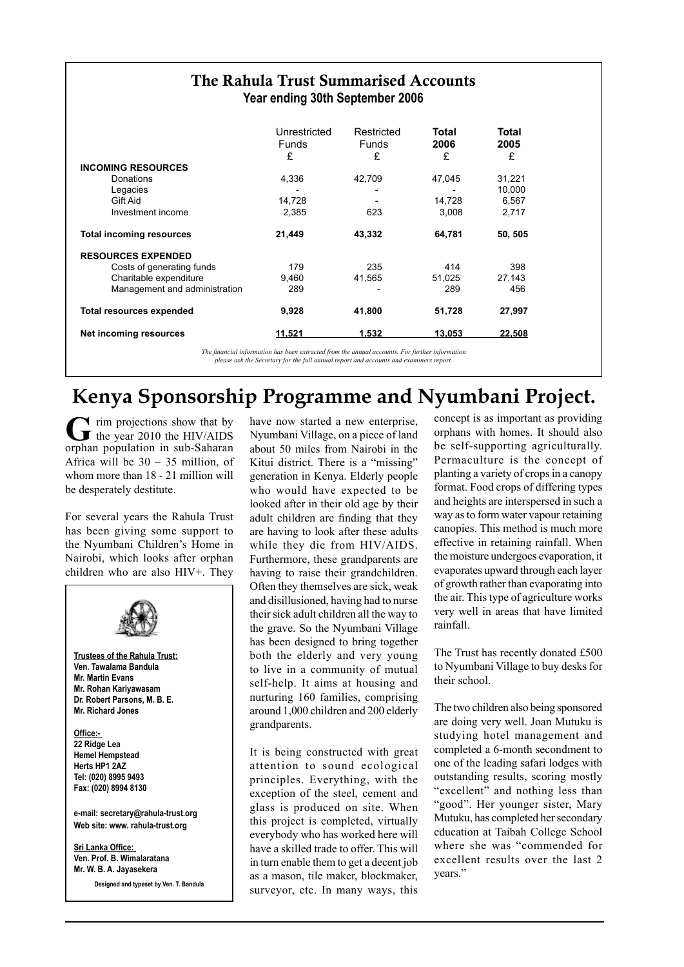| The Rahula Trust Summarised Accounts<br>Year ending 30th September 2006 |              |              |        |                  |  |  |  |  |
|-------------------------------------------------------------------------|--------------|--------------|--------|------------------|--|--|--|--|
|                                                                         | Unrestricted | Restricted   | Total  | Total            |  |  |  |  |
|                                                                         | <b>Funds</b> | <b>Funds</b> | 2006   | 2005             |  |  |  |  |
|                                                                         | £            | £            | £      | £                |  |  |  |  |
| <b>INCOMING RESOURCES</b><br>Donations                                  |              |              |        |                  |  |  |  |  |
| Legacies                                                                | 4,336        | 42,709       | 47,045 | 31,221<br>10,000 |  |  |  |  |
| Gift Aid                                                                | 14,728       |              | 14,728 | 6,567            |  |  |  |  |
| Investment income                                                       | 2,385        | 623          | 3,008  | 2,717            |  |  |  |  |
| <b>Total incoming resources</b>                                         | 21,449       | 43,332       | 64,781 | 50, 505          |  |  |  |  |
| <b>RESOURCES EXPENDED</b>                                               |              |              |        |                  |  |  |  |  |
| Costs of generating funds                                               | 179          | 235          | 414    | 398              |  |  |  |  |
| Charitable expenditure                                                  | 9.460        | 41,565       | 51,025 | 27,143           |  |  |  |  |
| Management and administration                                           | 289          |              | 289    | 456              |  |  |  |  |
| <b>Total resources expended</b>                                         | 9,928        | 41,800       | 51,728 | 27,997           |  |  |  |  |
| Net incoming resources                                                  | 11,521       | 1,532        | 13,053 | 22,508           |  |  |  |  |

*The financial information has been extracted from the annual accounts. For further information please ask the Secretary for the full annual report and accounts and examiners report.*

# **Kenya Sponsorship Programme and Nyumbani Project.**

**T** rim projections show that by the year 2010 the HIV/AIDS orphan population in sub-Saharan Africa will be  $30 - 35$  million, of whom more than 18 - 21 million will be desperately destitute.

For several years the Rahula Trust has been giving some support to the Nyumbani Children's Home in Nairobi, which looks after orphan children who are also HIV+. They



have now started a new enterprise, Nyumbani Village, on a piece of land about 50 miles from Nairobi in the Kitui district. There is a "missing" generation in Kenya. Elderly people who would have expected to be looked after in their old age by their adult children are finding that they are having to look after these adults while they die from HIV/AIDS. Furthermore, these grandparents are having to raise their grandchildren. Often they themselves are sick, weak and disillusioned, having had to nurse their sick adult children all the way to the grave. So the Nyumbani Village has been designed to bring together both the elderly and very young to live in a community of mutual self-help. It aims at housing and nurturing 160 families, comprising around 1,000 children and 200 elderly grandparents.

It is being constructed with great attention to sound ecological principles. Everything, with the exception of the steel, cement and glass is produced on site. When this project is completed, virtually everybody who has worked here will have a skilled trade to offer. This will in turn enable them to get a decent job as a mason, tile maker, blockmaker, surveyor, etc. In many ways, this

concept is as important as providing orphans with homes. It should also be self-supporting agriculturally. Permaculture is the concept of planting a variety of crops in a canopy format. Food crops of differing types and heights are interspersed in such a way as to form water vapour retaining canopies. This method is much more effective in retaining rainfall. When the moisture undergoes evaporation, it evaporates upward through each layer of growth rather than evaporating into the air. This type of agriculture works very well in areas that have limited rainfall.

The Trust has recently donated £500 to Nyumbani Village to buy desks for their school.

The two children also being sponsored are doing very well. Joan Mutuku is studying hotel management and completed a 6-month secondment to one of the leading safari lodges with outstanding results, scoring mostly "excellent" and nothing less than "good". Her younger sister, Mary Mutuku, has completed her secondary education at Taibah College School where she was "commended for excellent results over the last 2 years."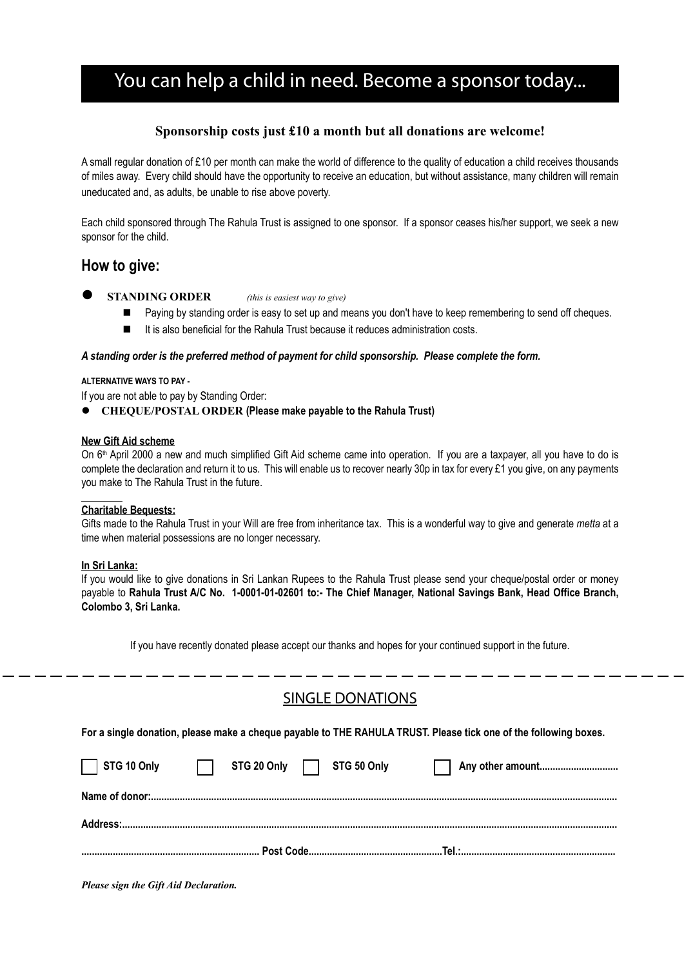# You can help a child in need. Become a sponsor today...

### **Sponsorship costs just £10 a month but all donations are welcome!**

A small regular donation of £10 per month can make the world of difference to the quality of education a child receives thousands of miles away. Every child should have the opportunity to receive an education, but without assistance, many children will remain uneducated and, as adults, be unable to rise above poverty.

Each child sponsored through The Rahula Trust is assigned to one sponsor. If a sponsor ceases his/her support, we seek a new sponsor for the child.

## **How to give:**

- **STANDING ORDER** *(this is easiest way to give)*
	- Paying by standing order is easy to set up and means you don't have to keep remembering to send off cheques.
	- $\blacksquare$  It is also beneficial for the Rahula Trust because it reduces administration costs.

### *A standing order is the preferred method of payment for child sponsorship. Please complete the form.*

### **ALTERNATIVE WAYS TO PAY -**

If you are not able to pay by Standing Order:

**CHEQUE/POSTAL ORDER (Please make payable to the Rahula Trust)** 

### **New Gift Aid scheme**

On 6<sup>th</sup> April 2000 a new and much simplified Gift Aid scheme came into operation. If you are a taxpayer, all you have to do is complete the declaration and return it to us. This will enable us to recover nearly 30p in tax for every £1 you give, on any payments you make to The Rahula Trust in the future.

### **Charitable Bequests:**

Gifts made to the Rahula Trust in your Will are free from inheritance tax. This is a wonderful way to give and generate *metta* at a time when material possessions are no longer necessary.

### **In Sri Lanka:**

If you would like to give donations in Sri Lankan Rupees to the Rahula Trust please send your cheque/postal order or money payable to **Rahula Trust A/C No. 1-0001-01-02601 to:- The Chief Manager, National Savings Bank, Head Office Branch, Colombo 3, Sri Lanka.**

If you have recently donated please accept our thanks and hopes for your continued support in the future.

# SINGLE DONATIONS

**For a single donation, please make a cheque payable to THE RAHULA TRUST. Please tick one of the following boxes.** 

| STG 10 Only | STG 20 Only <b>Canadia</b> STG 50 Only |  | Any other amount |
|-------------|----------------------------------------|--|------------------|

*Please sign the Gift Aid Declaration.*